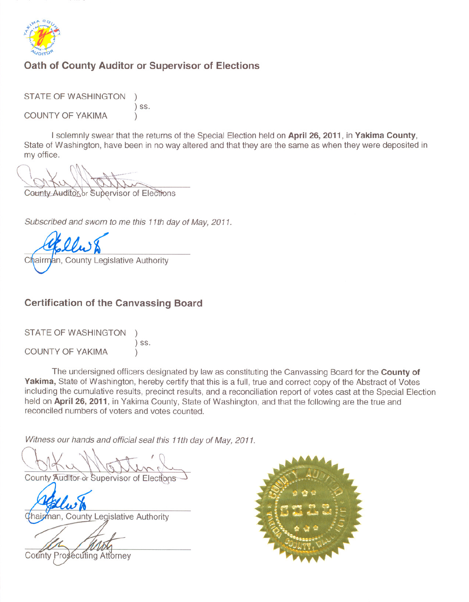

### Oath of County Auditor or Supervisor of Elections

**STATE OF WASHINGTON**  $)$  SS.

COUNTY OF YAKIMA

I solemnly swear that the returns of the Special Election held on April 26, 2011, in Yakima County, State of Washington, have been in no way altered and that they are the same as when they were deposited in my office.

County Auditor or Supervisor of Elections

Subscribed and sworn to me this 11th day of May, 2011.

Chairman, County Legislative Authority

### **Certification of the Canvassing Board**

STATE OF WASHINGTON  $)$  SS. **COUNTY OF YAKIMA** 

The undersigned officers designated by law as constituting the Canvassing Board for the County of Yakima, State of Washington, hereby certify that this is a full, true and correct copy of the Abstract of Votes including the cumulative results, precinct results, and a reconciliation report of votes cast at the Special Election held on April 26, 2011, in Yakima County, State of Washington, and that the following are the true and reconciled numbers of voters and votes counted.

Witness our hands and official seal this 11th day of May, 2011.

County Auditor or Supervisor of Elections

Thairman, County Legislative Authority

County Prosecuting Attorney

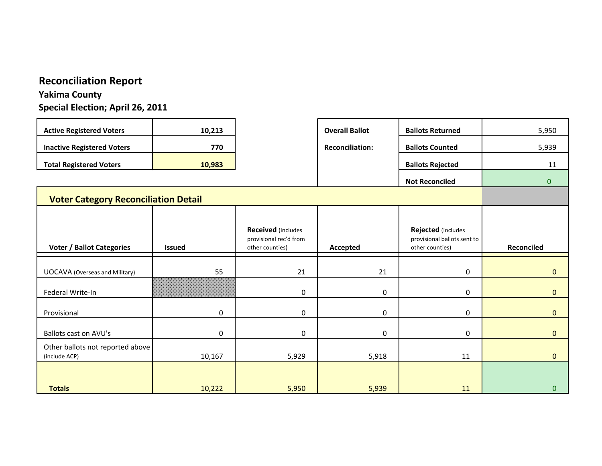# **Reconciliation Report**

### **Yakima County Special Election; April 26, 2011**

| <b>Active Registered Voters</b>             | 10,213        |                                                                        | <b>Overall Ballot</b>  | <b>Ballots Returned</b>                                              | 5,950          |
|---------------------------------------------|---------------|------------------------------------------------------------------------|------------------------|----------------------------------------------------------------------|----------------|
| <b>Inactive Registered Voters</b>           | 770           |                                                                        | <b>Reconciliation:</b> | <b>Ballots Counted</b>                                               | 5,939          |
| <b>Total Registered Voters</b>              | 10,983        |                                                                        |                        | <b>Ballots Rejected</b>                                              | 11             |
|                                             |               |                                                                        |                        | <b>Not Reconciled</b>                                                | 0              |
| <b>Voter Category Reconciliation Detail</b> |               |                                                                        |                        |                                                                      |                |
|                                             |               |                                                                        |                        |                                                                      |                |
| <b>Voter / Ballot Categories</b>            | <b>Issued</b> | <b>Received</b> (includes<br>provisional rec'd from<br>other counties) | Accepted               | Rejected (includes<br>provisional ballots sent to<br>other counties) | Reconciled     |
|                                             |               |                                                                        |                        |                                                                      |                |
| <b>UOCAVA (Overseas and Military)</b>       | 55            | 21                                                                     | 21                     | $\mathbf 0$                                                          | $\overline{0}$ |
| Federal Write-In                            |               | 0                                                                      | 0                      | $\mathbf 0$                                                          | $\Omega$       |
| Provisional                                 | 0             | 0                                                                      | 0                      | $\mathbf 0$                                                          | $\overline{0}$ |
| <b>Ballots cast on AVU's</b>                | 0             | 0                                                                      | $\mathbf{0}$           | $\Omega$                                                             | $\Omega$       |
| Other ballots not reported above            |               |                                                                        |                        |                                                                      |                |
| (include ACP)                               | 10,167        | 5,929                                                                  | 5,918                  | 11                                                                   | $\overline{0}$ |
| <b>Totals</b>                               | 10,222        | 5,950                                                                  | 5,939                  | 11                                                                   | $\mathbf{0}$   |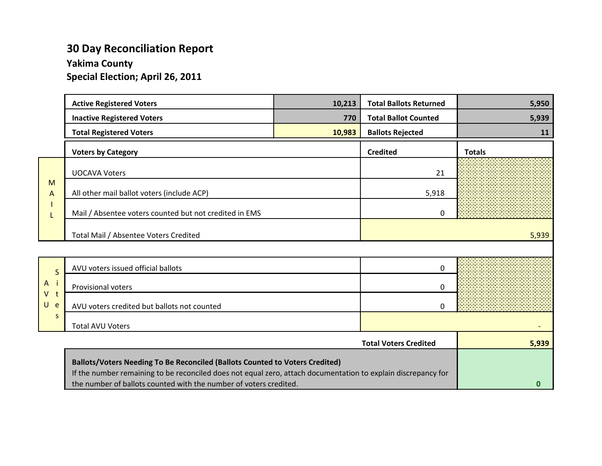### **30 Day Reconciliation Report**

**Yakima County**

**Special Election; April 26, 2011**

|                | <b>Active Registered Voters</b>                                                                                                                                                               | 10,213 | <b>Total Ballots Returned</b> | 5,950         |
|----------------|-----------------------------------------------------------------------------------------------------------------------------------------------------------------------------------------------|--------|-------------------------------|---------------|
|                | <b>Inactive Registered Voters</b>                                                                                                                                                             | 770    | <b>Total Ballot Counted</b>   | 5,939         |
|                | <b>Total Registered Voters</b>                                                                                                                                                                | 10,983 | <b>Ballots Rejected</b>       | 11            |
|                | <b>Voters by Category</b>                                                                                                                                                                     |        | <b>Credited</b>               | <b>Totals</b> |
|                | <b>UOCAVA Voters</b>                                                                                                                                                                          |        | 21                            |               |
| M<br>A         | All other mail ballot voters (include ACP)                                                                                                                                                    |        | 5,918                         |               |
|                | Mail / Absentee voters counted but not credited in EMS                                                                                                                                        |        | 0                             |               |
|                | Total Mail / Absentee Voters Credited                                                                                                                                                         |        |                               | 5,939         |
|                |                                                                                                                                                                                               |        |                               |               |
| $\mathsf{S}$   | AVU voters issued official ballots                                                                                                                                                            |        | 0                             |               |
| $A$ i          | Provisional voters                                                                                                                                                                            |        | 0                             |               |
| $V$ t<br>$U$ e | AVU voters credited but ballots not counted                                                                                                                                                   |        | $\Omega$                      |               |
| S              | <b>Total AVU Voters</b>                                                                                                                                                                       |        |                               |               |
|                |                                                                                                                                                                                               |        | <b>Total Voters Credited</b>  | 5,939         |
|                | Ballots/Voters Needing To Be Reconciled (Ballots Counted to Voters Credited)<br>If the number remaining to be reconciled does not equal zero, attach documentation to explain discrepancy for |        |                               |               |

**0**

the number of ballots counted with the number of voters credited.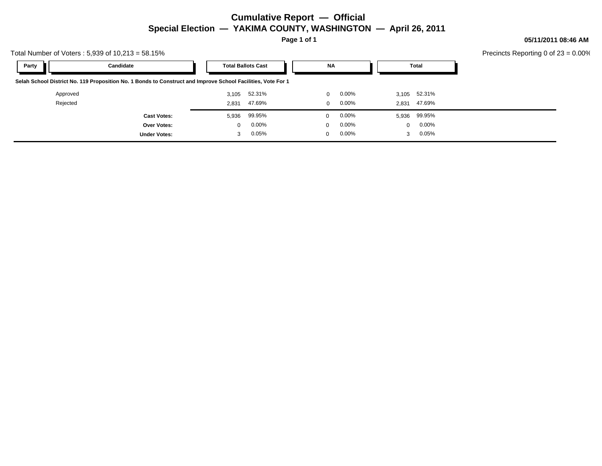### **Cumulative Report — Official Special Election — YAKIMA COUNTY, WASHINGTON — April 26, 2011**

**Page 1 of 1**

**05/11/2011 08:46 AM**

Precincts Reporting 0 of 23 = 0.00%

| Total Number of Voters: $5,939$ of $10,213 = 58.15\%$ |                                                                                                              |              |                           |              |          |              | Precincts Reporting 0 of |
|-------------------------------------------------------|--------------------------------------------------------------------------------------------------------------|--------------|---------------------------|--------------|----------|--------------|--------------------------|
| Party                                                 | Candidate                                                                                                    |              | <b>Total Ballots Cast</b> | NA           |          | Total        |                          |
|                                                       | Selah School District No. 119 Proposition No. 1 Bonds to Construct and Improve School Facilities, Vote For 1 |              |                           |              |          |              |                          |
| Approved                                              |                                                                                                              | 3,105        | 52.31%                    | 0            | $0.00\%$ | 3,105 52.31% |                          |
| Rejected                                              |                                                                                                              | 2.831        | 47.69%                    | $\Omega$     | $0.00\%$ | 2,831 47.69% |                          |
|                                                       | <b>Cast Votes:</b>                                                                                           | 5,936        | 99.95%                    | $\Omega$     | $0.00\%$ | 5,936 99.95% |                          |
|                                                       | <b>Over Votes:</b>                                                                                           | $\mathbf{0}$ | $0.00\%$                  | $\mathbf{0}$ | $0.00\%$ | 0.00%<br>0   |                          |
|                                                       | <b>Under Votes:</b>                                                                                          |              | 0.05%                     | $\Omega$     | $0.00\%$ | 0.05%<br>3   |                          |